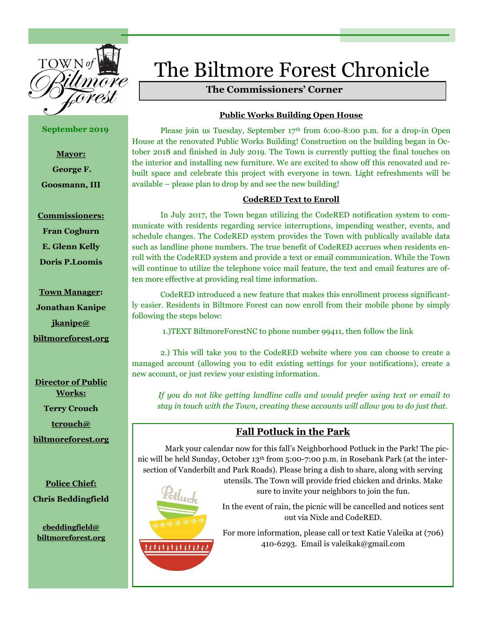

**September 2019**

**Mayor: George F. Goosmann, III**

## **Commissioners:**

**Fran Cogburn**

**E. Glenn Kelly**

**Doris P.Loomis**

**Town Manager: Jonathan Kanipe jkanipe@ biltmoreforest.org**

**Director of Public Works: Terry Crouch tcrouch@ biltmoreforest.org**

**Police Chief: Chris Beddingfield**

**cbeddingfield@ biltmoreforest.org**

# The Biltmore Forest Chronicle

# **The Commissioners' Corner**

# **Public Works Building Open House**

Please join us Tuesday, September 17<sup>th</sup> from 6:00-8:00 p.m. for a drop-in Open House at the renovated Public Works Building! Construction on the building began in October 2018 and finished in July 2019. The Town is currently putting the final touches on the interior and installing new furniture. We are excited to show off this renovated and rebuilt space and celebrate this project with everyone in town. Light refreshments will be available – please plan to drop by and see the new building!

# **CodeRED Text to Enroll**

In July 2017, the Town began utilizing the CodeRED notification system to communicate with residents regarding service interruptions, impending weather, events, and schedule changes. The CodeRED system provides the Town with publically available data such as landline phone numbers. The true benefit of CodeRED accrues when residents enroll with the CodeRED system and provide a text or email communication. While the Town will continue to utilize the telephone voice mail feature, the text and email features are often more effective at providing real time information.

CodeRED introduced a new feature that makes this enrollment process significantly easier. Residents in Biltmore Forest can now enroll from their mobile phone by simply following the steps below:

1.)TEXT BiltmoreForestNC to phone number 99411, then follow the link

2.) This will take you to the CodeRED website where you can choose to create a managed account (allowing you to edit existing settings for your notifications), create a new account, or just review your existing information.

 *If you do not like getting landline calls and would prefer using text or email to stay in touch with the Town, creating these accounts will allow you to do just that.*

# **Fall Potluck in the Park**

Mark your calendar now for this fall's Neighborhood Potluck in the Park! The picnic will be held Sunday, October 13th from 5:00-7:00 p.m. in Rosebank Park (at the intersection of Vanderbilt and Park Roads). Please bring a dish to share, along with serving utensils. The Town will provide fried chicken and drinks. Make



,,,,,,,,,,,

sure to invite your neighbors to join the fun.

In the event of rain, the picnic will be cancelled and notices sent out via Nixle and CodeRED.

For more information, please call or text Katie Valeika at (706) 410-6293. Email is valeikak@gmail.com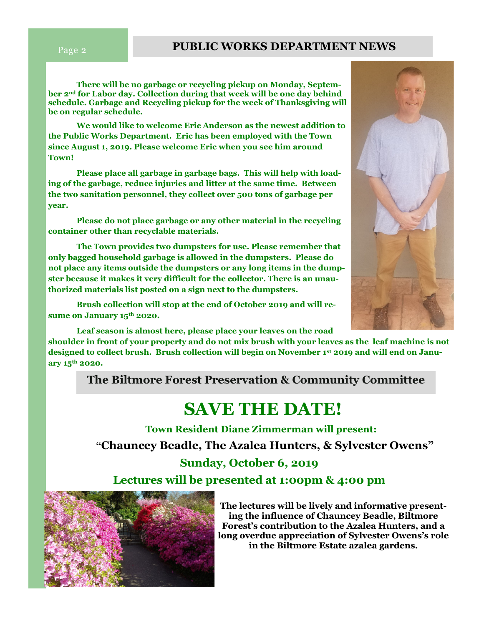# **Page 2 PUBLIC WORKS DEPARTMENT NEWS**

**There will be no garbage or recycling pickup on Monday, September 2nd for Labor day. Collection during that week will be one day behind schedule. Garbage and Recycling pickup for the week of Thanksgiving will be on regular schedule.**

**We would like to welcome Eric Anderson as the newest addition to the Public Works Department. Eric has been employed with the Town since August 1, 2019. Please welcome Eric when you see him around Town!**

**Please place all garbage in garbage bags. This will help with loading of the garbage, reduce injuries and litter at the same time. Between the two sanitation personnel, they collect over 500 tons of garbage per year.**

**Please do not place garbage or any other material in the recycling container other than recyclable materials.**

**The Town provides two dumpsters for use. Please remember that only bagged household garbage is allowed in the dumpsters. Please do not place any items outside the dumpsters or any long items in the dumpster because it makes it very difficult for the collector. There is an unauthorized materials list posted on a sign next to the dumpsters.**

**Brush collection will stop at the end of October 2019 and will resume on January 15th 2020.** 

**Leaf season is almost here, please place your leaves on the road shoulder in front of your property and do not mix brush with your leaves as the leaf machine is not designed to collect brush. Brush collection will begin on November 1st 2019 and will end on January 15th 2020.**

**The Biltmore Forest Preservation & Community Committee**

# **SAVE THE DATE!**

 **Town Resident Diane Zimmerman will present: "Chauncey Beadle, The Azalea Hunters, & Sylvester Owens"**

# **Sunday, October 6, 2019**

**Lectures will be presented at 1:00pm & 4:00 pm** 



**The lectures will be lively and informative presenting the influence of Chauncey Beadle, Biltmore Forest's contribution to the Azalea Hunters, and a long overdue appreciation of Sylvester Owens's role in the Biltmore Estate azalea gardens.**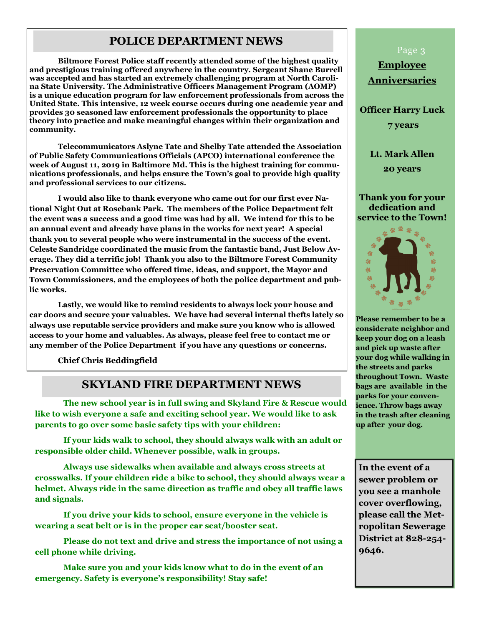# **POLICE DEPARTMENT NEWS**

**Biltmore Forest Police staff recently attended some of the highest quality and prestigious training offered anywhere in the country. Sergeant Shane Burrell was accepted and has started an extremely challenging program at North Carolina State University. The Administrative Officers Management Program (AOMP) is a unique education program for law enforcement professionals from across the United State. This intensive, 12 week course occurs during one academic year and provides 30 seasoned law enforcement professionals the opportunity to place theory into practice and make meaningful changes within their organization and community.**

**Telecommunicators Aslyne Tate and Shelby Tate attended the Association of Public Safety Communications Officials (APCO) international conference the week of August 11, 2019 in Baltimore Md. This is the highest training for communications professionals, and helps ensure the Town's goal to provide high quality and professional services to our citizens.**

**I would also like to thank everyone who came out for our first ever National Night Out at Rosebank Park. The members of the Police Department felt the event was a success and a good time was had by all. We intend for this to be an annual event and already have plans in the works for next year! A special thank you to several people who were instrumental in the success of the event. Celeste Sandridge coordinated the music from the fantastic band, Just Below Average. They did a terrific job! Thank you also to the Biltmore Forest Community Preservation Committee who offered time, ideas, and support, the Mayor and Town Commissioners, and the employees of both the police department and public works.**

**Lastly, we would like to remind residents to always lock your house and car doors and secure your valuables. We have had several internal thefts lately so always use reputable service providers and make sure you know who is allowed access to your home and valuables. As always, please feel free to contact me or any member of the Police Department if you have any questions or concerns.**

**Chief Chris Beddingfield**

# **SKYLAND FIRE DEPARTMENT NEWS**

**The new school year is in full swing and Skyland Fire & Rescue would like to wish everyone a safe and exciting school year. We would like to ask parents to go over some basic safety tips with your children:**

**If your kids walk to school, they should always walk with an adult or responsible older child. Whenever possible, walk in groups.**

**Always use sidewalks when available and always cross streets at crosswalks. If your children ride a bike to school, they should always wear a helmet. Always ride in the same direction as traffic and obey all traffic laws and signals.**

**If you drive your kids to school, ensure everyone in the vehicle is wearing a seat belt or is in the proper car seat/booster seat.**

**Please do not text and drive and stress the importance of not using a cell phone while driving.**

**Make sure you and your kids know what to do in the event of an emergency. Safety is everyone's responsibility! Stay safe!**

### Page 3

**Employee Anniversaries**

**Officer Harry Luck**

**7 years** 

**Lt. Mark Allen 20 years**

**Thank you for your dedication and service to the Town!**



**Please remember to be a considerate neighbor and keep your dog on a leash and pick up waste after your dog while walking in the streets and parks throughout Town. Waste bags are available in the parks for your convenience. Throw bags away in the trash after cleaning up after your dog.** 

**In the event of a sewer problem or you see a manhole cover overflowing, please call the Metropolitan Sewerage District at 828-254- 9646.**